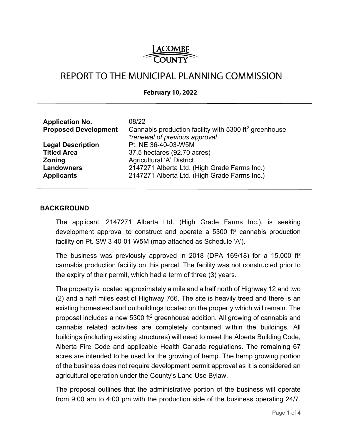

# REPORT TO THE MUNICIPAL PLANNING COMMISSION

#### **February 10, 2022**

| <b>Application No.</b><br><b>Proposed Development</b> | 08/22<br>Cannabis production facility with 5300 ft <sup>2</sup> greenhouse<br>*renewal of previous approval |
|-------------------------------------------------------|-------------------------------------------------------------------------------------------------------------|
| <b>Legal Description</b>                              | Pt. NE 36-40-03-W5M                                                                                         |
| <b>Titled Area</b>                                    | 37.5 hectares (92.70 acres)                                                                                 |
| <b>Zoning</b>                                         | Agricultural 'A' District                                                                                   |
| <b>Landowners</b>                                     | 2147271 Alberta Ltd. (High Grade Farms Inc.)                                                                |
| <b>Applicants</b>                                     | 2147271 Alberta Ltd. (High Grade Farms Inc.)                                                                |

#### **BACKGROUND**

The applicant, 2147271 Alberta Ltd. (High Grade Farms Inc.), is seeking development approval to construct and operate a  $5300$  ft<sup>2</sup> cannabis production facility on Pt. SW 3-40-01-W5M (map attached as Schedule 'A').

The business was previously approved in 2018 (DPA 169/18) for a 15,000 ft<sup>2</sup> cannabis production facility on this parcel. The facility was not constructed prior to the expiry of their permit, which had a term of three (3) years.

The property is located approximately a mile and a half north of Highway 12 and two (2) and a half miles east of Highway 766. The site is heavily treed and there is an existing homestead and outbuildings located on the property which will remain. The proposal includes a new 5300 ft<sup>2</sup> greenhouse addition. All growing of cannabis and cannabis related activities are completely contained within the buildings. All buildings (including existing structures) will need to meet the Alberta Building Code, Alberta Fire Code and applicable Health Canada regulations. The remaining 67 acres are intended to be used for the growing of hemp. The hemp growing portion of the business does not require development permit approval as it is considered an agricultural operation under the County's Land Use Bylaw.

The proposal outlines that the administrative portion of the business will operate from 9:00 am to 4:00 pm with the production side of the business operating 24/7.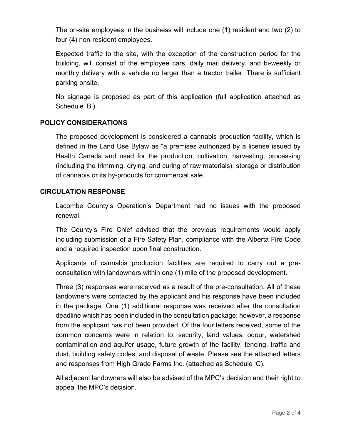The on-site employees in the business will include one (1) resident and two (2) to four (4) non-resident employees.

Expected traffic to the site, with the exception of the construction period for the building, will consist of the employee cars, daily mail delivery, and bi-weekly or monthly delivery with a vehicle no larger than a tractor trailer. There is sufficient parking onsite.

No signage is proposed as part of this application (full application attached as Schedule 'B').

# **POLICY CONSIDERATIONS**

The proposed development is considered a cannabis production facility, which is defined in the Land Use Bylaw as "a premises authorized by a license issued by Health Canada and used for the production, cultivation, harvesting, processing (including the trimming, drying, and curing of raw materials), storage or distribution of cannabis or its by-products for commercial sale.

## **CIRCULATION RESPONSE**

Lacombe County's Operation's Department had no issues with the proposed renewal.

The County's Fire Chief advised that the previous requirements would apply including submission of a Fire Safety Plan, compliance with the Alberta Fire Code and a required inspection upon final construction.

Applicants of cannabis production facilities are required to carry out a preconsultation with landowners within one (1) mile of the proposed development.

Three (3) responses were received as a result of the pre-consultation. All of these landowners were contacted by the applicant and his response have been included in the package. One (1) additional response was received after the consultation deadline which has been included in the consultation package; however, a response from the applicant has not been provided. Of the four letters received, some of the common concerns were in relation to: security, land values, odour, watershed contamination and aquifer usage, future growth of the facility, fencing, traffic and dust, building safety codes, and disposal of waste. Please see the attached letters and responses from High Grade Farms Inc. (attached as Schedule 'C).

All adjacent landowners will also be advised of the MPC's decision and their right to appeal the MPC's decision.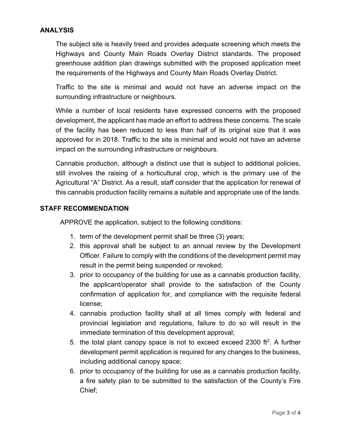## **ANALYSIS**

The subject site is heavily treed and provides adequate screening which meets the Highways and County Main Roads Overlay District standards. The proposed greenhouse addition plan drawings submitted with the proposed application meet the requirements of the Highways and County Main Roads Overlay District.

Traffic to the site is minimal and would not have an adverse impact on the surrounding infrastructure or neighbours.

While a number of local residents have expressed concerns with the proposed development, the applicant has made an effort to address these concerns. The scale of the facility has been reduced to less than half of its original size that it was approved for in 2018. Traffic to the site is minimal and would not have an adverse impact on the surrounding infrastructure or neighbours.

Cannabis production, although a distinct use that is subject to additional policies, still involves the raising of a horticultural crop, which is the primary use of the Agricultural "A" District. As a result, staff consider that the application for renewal of this cannabis production facility remains a suitable and appropriate use of the lands.

### **STAFF RECOMMENDATION**

APPROVE the application, subject to the following conditions:

- 1. term of the development permit shall be three (3) years;
- 2. this approval shall be subject to an annual review by the Development Officer. Failure to comply with the conditions of the development permit may result in the permit being suspended or revoked;
- 3. prior to occupancy of the building for use as a cannabis production facility, the applicant/operator shall provide to the satisfaction of the County confirmation of application for, and compliance with the requisite federal license;
- 4. cannabis production facility shall at all times comply with federal and provincial legislation and regulations, failure to do so will result in the immediate termination of this development approval;
- 5. the total plant canopy space is not to exceed exceed 2300 ft<sup>2</sup>. A further development permit application is required for any changes to the business, including additional canopy space;
- 6. prior to occupancy of the building for use as a cannabis production facility, a fire safety plan to be submitted to the satisfaction of the County's Fire Chief;